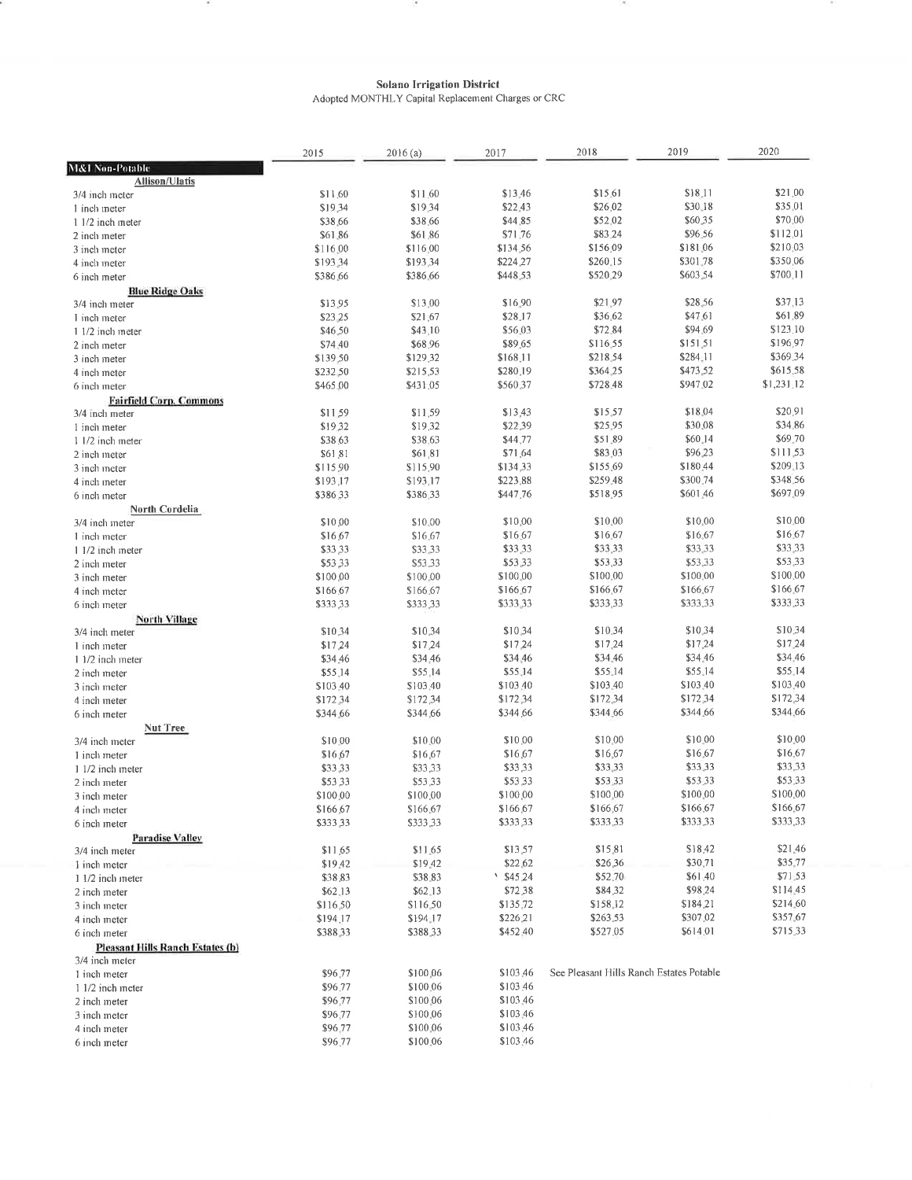$\sim$ 

 $\alpha$ 

 $\sim$ 

 $\begin{array}{c} \textbf{Solano Irrigation District} \\ \textbf{Adopted MONTHLY Capital Replacement Chargest or CRC} \end{array}$ 

|                                         | 2015               | 2016(a)              | 2017                 | 2018                                     | 2019                 | 2020                 |  |
|-----------------------------------------|--------------------|----------------------|----------------------|------------------------------------------|----------------------|----------------------|--|
| M&I Non-Potable                         |                    |                      |                      |                                          |                      |                      |  |
| <b>Allison/Ulatis</b>                   | \$11.60            | \$11.60              | \$13,46              | \$15.61                                  | \$18,11              | \$21.00              |  |
| 3/4 inch meter<br>1 inch meter          | \$19.34            | \$19,34              | \$22.43              | \$26.02                                  | \$30.18              | \$35.01              |  |
| 1 1/2 inch meter                        | \$38,66            | \$38.66              | \$44.85              | \$52.02                                  | \$60.35              | \$70,00              |  |
| 2 inch meter                            | \$61.86            | \$61.86              | \$71.76              | \$83,24                                  | \$96.56              | \$112,01             |  |
| 3 inch meter                            | \$116,00           | \$116.00             | \$134.56             | \$156.09                                 | \$181.06             | \$210.03             |  |
| 4 inch meter                            | \$193,34           | \$193,34             | \$224,27             | \$260.15                                 | \$301.78             | \$350.06             |  |
| 6 inch meter                            | \$386,66           | \$386.66             | \$448.53             | \$520,29                                 | \$603.54             | \$700.11             |  |
| <b>Blue Ridge Oaks</b>                  |                    |                      |                      |                                          |                      |                      |  |
| 3/4 inch meter                          | \$13.95            | \$13.00              | \$16.90              | \$21.97                                  | \$28.56              | \$37,13              |  |
| 1 inch meter                            | \$23 25            | \$21.67              | \$28.17              | \$36.62                                  | \$47.61              | \$61.89              |  |
| 1 1/2 inch meter                        | \$46.50            | \$43,10              | \$56.03              | \$72.84                                  | \$94.69              | \$123,10             |  |
| 2 inch meter                            | \$74 40            | \$68.96              | \$89.65              | \$116.55                                 | \$151.51             | \$196,97             |  |
| 3 inch meter                            | \$139.50           | \$129,32             | \$168,11             | \$218.54                                 | \$284.11             | \$369.34             |  |
| 4 inch meter                            | \$232,50           | \$215,53             | \$280,19             | \$364 25                                 | \$473.52             | \$615,58             |  |
| 6 inch meter                            | \$465.00           | \$431.05             | \$560,37             | \$728,48                                 | \$947.02             | \$1,231.12           |  |
| <b>Fairfield Corp. Commons</b>          |                    |                      |                      |                                          | \$18.04              | \$20.91              |  |
| 3/4 inch meter                          | \$11.59            | \$11.59              | \$13.43              | \$15.57<br>\$25.95                       | \$30.08              | \$34.86              |  |
| 1 inch meter                            | \$19.32            | \$19,32<br>\$38.63   | \$22.39<br>\$44,77   | \$51.89                                  | \$60.14              | \$69.70              |  |
| 1 1/2 inch meter<br>2 inch meter        | \$38,63<br>\$61.81 | \$61,81              | \$71.64              | \$83.03                                  | \$96.23              | \$111,53             |  |
| 3 inch meter                            | \$115,90           | \$115,90             | \$134.33             | \$155.69                                 | \$180.44             | \$209.13             |  |
| 4 inch meter                            | \$193,17           | \$193,17             | \$223.88             | \$259.48                                 | \$300,74             | \$348.56             |  |
| 6 inch meter                            | \$386,33           | \$386,33             | \$447.76             | \$518.95                                 | \$601.46             | \$697.09             |  |
| North Cordelia                          |                    |                      |                      |                                          |                      |                      |  |
| 3/4 inch meter                          | \$10.00            | \$10.00              | \$10.00              | \$10.00                                  | \$10.00              | \$10.00              |  |
| 1 inch meter                            | \$16.67            | \$16.67              | \$16.67              | \$16.67                                  | \$16.67              | \$16.67              |  |
| 1 1/2 inch meter                        | \$33,33            | \$33.33              | \$33,33              | \$33,33                                  | \$33.33              | \$33.33              |  |
| 2 inch meter                            | \$53,33            | \$53.33              | \$53.33              | \$53,33                                  | \$53.33              | \$53.33              |  |
| 3 inch meter                            | \$100,00           | \$100.00             | \$100.00             | \$100,00                                 | \$100.00             | \$100.00             |  |
| 4 inch meter                            | \$166,67           | \$166.67             | \$166,67             | \$166,67                                 | \$166,67             | \$166.67             |  |
| 6 inch meter                            | \$333,33           | \$333,33             | \$333.33             | \$333,33                                 | \$333.33             | \$333,33             |  |
| <b>North Village</b>                    |                    |                      |                      |                                          |                      |                      |  |
| 3/4 inch meter                          | \$10.34            | \$10.34              | \$10,34              | \$10.34                                  | \$10.34              | \$10.34              |  |
| 1 inch meter                            | \$17.24            | \$17,24              | \$17.24              | \$17,24                                  | \$17.24              | \$17.24              |  |
| 1 1/2 inch meter                        | \$34.46            | \$34.46              | \$34,46              | \$34.46                                  | \$34.46              | \$34.46              |  |
| 2 inch meter                            | \$55.14            | \$55,14              | \$55.14              | \$55.14                                  | \$55.14              | \$55,14              |  |
| 3 inch meter                            | \$103.40           | \$103,40             | \$103,40             | \$103.40                                 | \$103.40             | \$103.40             |  |
| 4 inch meter                            | \$172,34           | \$172,34             | \$172,34<br>\$344.66 | \$172.34<br>\$344.66                     | \$172,34<br>\$344.66 | \$172,34<br>\$344.66 |  |
| 6 inch meter                            | \$344.66           | \$344,66             |                      |                                          |                      |                      |  |
| <b>Nut Tree</b><br>3/4 inch meter       | \$10.00            | \$10.00              | \$10.00              | \$10.00                                  | \$10.00              | \$10.00              |  |
| 1 inch meter                            | \$16,67            | \$16.67              | \$16,67              | \$16.67                                  | \$16.67              | \$16.67              |  |
| 1 1/2 inch meter                        | \$33,33            | \$33,33              | \$33,33              | \$33.33                                  | \$33,33              | \$33.33              |  |
| 2 inch meter                            | \$53,33            | \$53,33              | \$53,33              | \$53.33                                  | \$53.33              | \$53.33              |  |
| 3 inch meter                            | \$100.00           | \$100.00             | \$100,00             | \$100,00                                 | \$100,00             | \$100.00             |  |
| 4 inch meter                            | \$166.67           | \$166.67             | \$166.67             | \$166.67                                 | \$166.67             | \$166.67             |  |
| 6 inch meter                            | \$333,33           | \$333,33             | \$333,33             | \$333,33                                 | \$333,33             | \$333,33             |  |
| <b>Paradise Valley</b>                  |                    |                      |                      |                                          |                      |                      |  |
| 3/4 inch meter                          | \$11.65            | \$11.65              | \$13,57              | \$15,81                                  | \$18.42              | \$21.46              |  |
| I inch meter                            | \$19.42            | \$19.42              | \$22,62              | \$26,36                                  | \$30.71              | \$35.77              |  |
| 1 1/2 inch meter                        | \$38.83            | \$38.83              | $\frac{$45,24}{ }$   | \$52,70                                  | \$61.40              | \$71.53              |  |
| 2 inch meter                            | \$62.13            | \$62.13              | \$72.38              | \$84,32                                  | \$98,24              | \$114.45             |  |
| 3 inch meter                            | \$116,50           | \$116.50             | \$135,72             | \$158,12                                 | \$184,21             | \$214.60             |  |
| 4 inch meter                            | \$194.17           | \$194.17             | \$226.21             | \$263.53                                 | \$307.02             | \$357.67             |  |
| 6 inch meter                            | \$388,33           | \$388,33             | \$452.40             | \$527,05                                 | \$614.01             | \$715.33             |  |
| <b>Pleasant Hills Ranch Estates (b)</b> |                    |                      |                      |                                          |                      |                      |  |
| 3/4 inch meter                          |                    |                      |                      |                                          |                      |                      |  |
| 1 inch meter                            | \$96,77            | \$100.06             | \$103.46             | See Pleasant Hills Ranch Estates Potable |                      |                      |  |
| 1 1/2 inch meter                        | \$96.77            | \$100.06             | \$103.46             |                                          |                      |                      |  |
| 2 inch meter                            | \$96.77            | \$100.06             | \$103.46             |                                          |                      |                      |  |
| 3 inch meter                            | \$96.77            | \$100,06             | \$103.46             |                                          |                      |                      |  |
| 4 inch meter                            | \$96.77            | \$100,06<br>\$100.06 | \$103,46<br>\$103,46 |                                          |                      |                      |  |
| 6 inch meter                            | \$96.77            |                      |                      |                                          |                      |                      |  |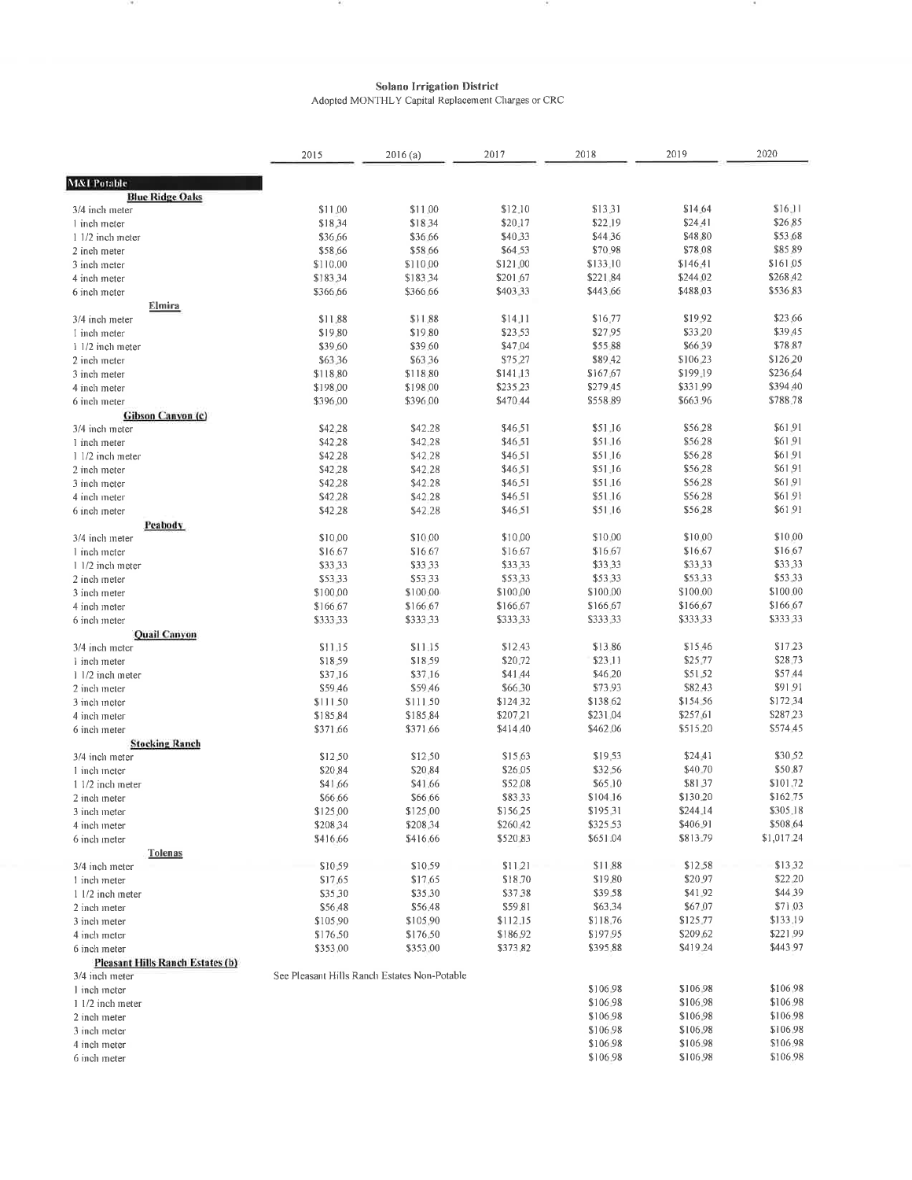$\sim$ 

 $\overline{\phantom{a}}$ 

 $\alpha$  .

397

 $\begin{minipage}{0.9\linewidth} \textbf{Solano Irrigation District} \\ \textbf{Adopted MONTHLY Capital Replacement Classes or CRC} \end{minipage}$ 

|                                         | 2015     | 2016(a)                                      | 2017      | 2018     | 2019     | 2020       |
|-----------------------------------------|----------|----------------------------------------------|-----------|----------|----------|------------|
| <b>M&amp;I Potable</b>                  |          |                                              |           |          |          |            |
| <b>Blue Ridge Oaks</b>                  |          |                                              |           |          |          |            |
| 3/4 inch meter                          | \$11.00  | \$11.00                                      | \$12.10   | \$13.31  | \$14.64  | \$16.11    |
| 1 inch meter                            | \$18,34  | \$18,34                                      | \$20.17   | \$22.19  | \$24.41  | \$26,85    |
| 1 1/2 inch meter                        | \$36.66  | \$36.66                                      | \$40.33   | \$44.36  | \$48.80  | \$53.68    |
| 2 inch meter                            | \$58.66  | \$58.66                                      | \$64.53   | \$70.98  | \$78.08  | \$85.89    |
| 3 inch meter                            | \$110.00 | \$110,00                                     | \$121.00  | \$133,10 | \$146.41 | \$161.05   |
| 4 inch meter                            | \$183,34 | \$183,34                                     | \$201.67  | \$221.84 | \$244.02 | \$268.42   |
| 6 inch meter                            | \$366,66 | \$366,66                                     | \$403.33  | \$443.66 | \$488.03 | \$536.83   |
| <u>Elmira</u>                           |          |                                              |           |          |          |            |
| 3/4 inch meter                          | \$11.88  | \$11.88                                      | \$14.11   | \$16.77  | \$19.92  | \$23.66    |
| I inch meter                            | \$19.80  | \$19.80                                      | \$23.53   | \$27.95  | \$33.20  | \$39.45    |
| 1 1/2 inch meter                        | \$39.60  | \$39.60                                      | \$47.04   | \$55.88  | \$66.39  | \$78.87    |
| 2 inch meter                            | \$63,36  | \$63,36                                      | \$75,27   | \$89.42  | \$106.23 | \$126,20   |
| 3 inch meter                            | \$118,80 | \$118,80                                     | \$141, 13 | \$167.67 | \$199,19 | \$236.64   |
| 4 inch meter                            | \$198.00 | \$198.00                                     | \$235,23  | \$279.45 | \$331.99 | \$394.40   |
| 6 inch meter                            | \$396.00 | \$396.00                                     | \$470.44  | \$558.89 | \$663,96 | \$788.78   |
| Gibson Canyon (c)                       |          |                                              |           |          |          |            |
| 3/4 inch meter                          | \$42,28  | \$42.28                                      | \$46,51   | \$51.16  | \$56.28  | \$61.91    |
| 1 inch meter                            | \$42.28  | \$42.28                                      | \$46,51   | \$51.16  | \$56.28  | \$61.91    |
| 1 1/2 inch meter                        | \$42.28  | \$42,28                                      | \$46,51   | \$51.16  | \$56.28  | \$61.91    |
| 2 inch meter                            | \$42,28  | \$42,28                                      | \$46,51   | \$51.16  | \$56,28  | \$61.91    |
| 3 inch meter                            | \$42.28  | \$42.28                                      | \$46.51   | \$51.16  | \$56.28  | \$61.91    |
| 4 inch meter                            | \$42,28  | \$42.28                                      | \$46.51   | \$51.16  | \$56.28  | \$61.91    |
| 6 inch meter                            | \$42.28  | \$42.28                                      | \$46,51   | \$51.16  | \$56.28  | \$61.91    |
| Peabody                                 |          |                                              |           |          |          |            |
| 3/4 inch meter                          | \$10.00  | \$10.00                                      | \$10,00   | \$10.00  | \$10.00  | \$10.00    |
| 1 inch meter                            | \$16.67  | \$16.67                                      | \$16.67   | \$16.67  | \$16.67  | \$16.67    |
| 1 1/2 inch meter                        | \$33.33  | \$33.33                                      | \$33,33   | \$33.33  | \$33,33  | \$33.33    |
| 2 inch meter                            | \$53 33  | \$53.33                                      | \$53,33   | \$53.33  | \$53.33  | \$53.33    |
| 3 inch meter                            | \$100.00 | \$100.00                                     | \$100.00  | \$100.00 | \$100.00 | \$100.00   |
| 4 inch meter                            | \$166.67 | \$166,67                                     | \$166.67  | \$166,67 | \$166.67 | \$166.67   |
| 6 inch meter                            | \$333.33 | \$333.33                                     | \$333,33  | \$333,33 | \$333,33 | \$333,33   |
| <b>Quail Canyon</b>                     |          |                                              |           |          |          |            |
| 3/4 inch meter                          | \$11,15  | $$11-15$                                     | \$12.43   | \$13.86  | \$15.46  | \$17.23    |
| 1 inch meter                            | \$18.59  | \$18.59                                      | \$20.72   | \$23.11  | \$25.77  | \$28.73    |
| 1 1/2 inch meter                        | \$37.16  | \$37,16                                      | \$41.44   | \$46.20  | \$51.52  | \$57.44    |
| 2 inch meter                            | \$59.46  | \$59.46                                      | \$66.30   | \$73.93  | \$82.43  | \$91.91    |
| 3 inch meter                            | \$111.50 | \$111.50                                     | \$124.32  | \$138.62 | \$154.56 | \$172.34   |
| 4 inch meter                            | \$185,84 | \$185.84                                     | \$207.21  | \$231.04 | \$257.61 | \$287.23   |
| 6 inch meter                            | \$371.66 | \$371.66                                     | \$414.40  | \$462.06 | \$515,20 | \$574.45   |
| <b>Stocking Ranch</b>                   |          |                                              |           |          |          |            |
| 3/4 inch meter                          | \$12.50  | \$12,50                                      | \$15.63   | \$19.53  | \$24.41  | \$30.52    |
| 1 inch meter                            | \$20.84  | \$20,84                                      | \$26.05   | \$32.56  | \$40.70  | \$50.87    |
| 1 1/2 inch meter                        | \$41,66  | \$41.66                                      | \$52.08   | \$65.10  | \$81.37  | \$101.72   |
| 2 inch meter                            | \$66,66  | \$66,66                                      | \$83.33   | \$104,16 | \$130.20 | \$162.75   |
| 3 inch meter                            | \$125,00 | \$125,00                                     | \$156.25  | \$195,31 | \$244.14 | \$305.18   |
| 4 inch meter                            | \$208,34 | \$208,34                                     | \$260.42  | \$325,53 | \$406.91 | \$508.64   |
| 6 inch meter                            | \$416,66 | \$416,66                                     | \$520.83  | \$651.04 | \$813.79 | \$1,017.24 |
| <b>Tolenas</b>                          |          |                                              |           |          |          |            |
| 3/4 inch meter                          | \$10,59  | \$10.59                                      | \$11.21   | \$11.88  | \$12.58  | \$13.32    |
| 1 inch meter                            | \$17.65  | \$17,65                                      | \$18.70   | \$19.80  | \$20.97  | \$22.20    |
| 1 1/2 inch meter                        | \$35,30  | \$35,30                                      | \$37.38   | \$39.58  | \$41.92  | \$44.39    |
| 2 inch meter                            | \$56,48  | \$56.48                                      | \$59.81   | \$63.34  | \$67.07  | \$71.03    |
| 3 inch meter                            | \$105,90 | \$105,90                                     | \$112.15  | \$118.76 | \$125,77 | \$133.19   |
| 4 inch meter                            | \$176,50 | \$176.50                                     | \$186,92  | \$197.95 | \$209.62 | \$221.99   |
| 6 inch meter                            | \$353,00 | \$353,00                                     | \$373.82  | \$395.88 | \$419.24 | \$443.97   |
| <b>Pleasant Hills Ranch Estates (b)</b> |          |                                              |           |          |          |            |
| 3/4 inch meter                          |          | See Pleasant Hills Ranch Estates Non-Potable |           |          |          |            |
| 1 inch meter                            |          |                                              |           | \$106.98 | \$106.98 | \$106.98   |
| 1 1/2 inch meter                        |          |                                              |           | \$106.98 | \$106.98 | \$106.98   |
| 2 inch meter                            |          |                                              |           | \$106.98 | \$106.98 | \$106.98   |
| 3 inch meter                            |          |                                              |           | \$106.98 | \$106.98 | \$106.98   |
| 4 inch meter                            |          |                                              |           | \$106.98 | \$106.98 | \$106,98   |
| 6 inch meter                            |          |                                              |           | \$106.98 | \$106.98 | \$106.98   |